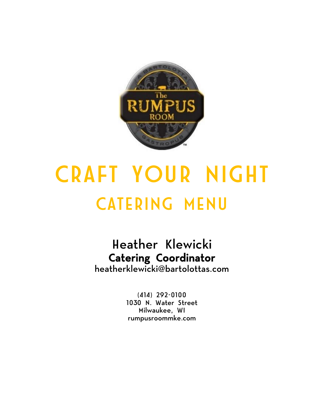

# CRAFT YOUR NIGHT CATERING MENU

## Heather Klewicki Catering Coordinator

heatherklewicki@bartolottas.com

(414) 292-0100 1030 N. Water Street Milwaukee, WI rumpusroommke.com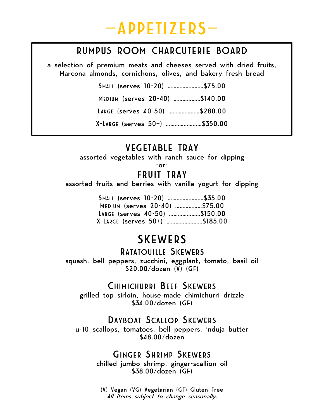

#### RUMPUS ROOM CHARCUTERIE BOARD

a selection of premium meats and cheeses served with dried fruits, Marcona almonds, cornichons, olives, and bakery fresh bread

> SMALL (serves 10-20) ……………………\$75.00 MEDIUM (serves 20-40) ………………\$140.00 LARGE (serves 40-50) …………………\$280.00 X-LARGE (serves 50+) ……………………\$350.00

#### VEGETABLE TRAY

assorted vegetables with ranch sauce for dipping

-or-

#### FRUIT TRAY

assorted fruits and berries with vanilla yogurt for dipping

| SMALL (serves 10-20)  \$35.00  |  |
|--------------------------------|--|
| MEDIUM (serves 20-40)  \$75.00 |  |
| LARGE (serves 40-50) \$150.00  |  |
|                                |  |

### SKEWERS

#### RATATOUILLE SKEWERS

squash, bell peppers, zucchini, eggplant, tomato, basil oil \$20.00/dozen (V) (GF)

#### CHIMICHURRI BEEF SKEWERS

grilled top sirloin, house-made chimichurri drizzle \$34.00/dozen (GF)

#### DAYBOAT SCALLOP SKEWERS

u-10 scallops, tomatoes, bell peppers, 'nduja butter \$48.00/dozen

#### GINGER SHRIMP SKEWERS

chilled jumbo shrimp, ginger-scallion oil \$38.00/dozen (GF)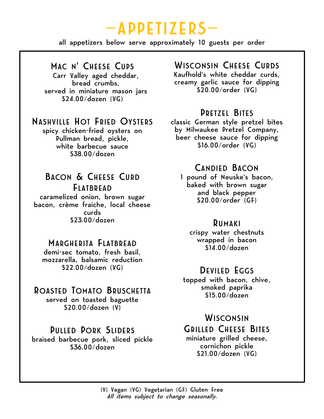## —APPETIZERS—

all appetizers below serve approximately 10 guests per order

#### MAC N' CHEESE CUPS

Carr Valley aged cheddar, bread crumbs, served in miniature mason jars \$24.00/dozen (VG)

#### NASHVILLE HOT FRIED OYSTERS

spicy chicken-fried oysters on Pullman bread, pickle, white barbecue sauce \$38.00/dozen

#### BACON & CHEESE CURD FLATBREAD

caramelized onion, brown sugar bacon, crème fraiche, local cheese curds \$23.00/dozen

#### MARGHERITA FLATBREAD

demi-sec tomato, fresh basil, mozzarella, balsamic reduction \$22.00/dozen (VG)

#### ROASTED TOMATO BRUSCHETTA

served on toasted baguette \$20.00/dozen (V)

#### PULLED PORK SLIDERS

braised barbecue pork, sliced pickle \$36.00/dozen

#### WISCONSIN CHEESE CURDS

Kaufhold's white cheddar curds, creamy garlic sauce for dipping \$20.00/order (VG)

#### PRETZEL BITES

classic German style pretzel bites by Milwaukee Pretzel Company, beer cheese sauce for dipping \$16.00/order (VG)

#### CANDIED BACON

1 pound of Neuske's bacon, baked with brown sugar and black pepper \$20.00/order (GF)

#### RUMAKI

crispy water chestnuts wrapped in bacon \$14.00/dozen

#### DEVILED EGGS

topped with bacon, chive, smoked paprika \$15.00/dozen

#### **WISCONSIN**

#### GRILLED CHEESE BITES

miniature grilled cheese, cornichon pickle \$21.00/dozen (VG)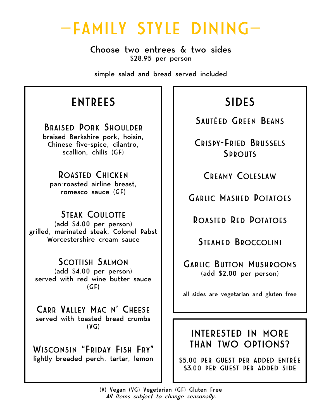## —FAMILY STYLE DINING—

Choose two entrees & two sides \$28.95 per person

simple salad and bread served included

## ENTREES

BRAISED PORK SHOULDER braised Berkshire pork, hoisin, Chinese five-spice, cilantro, scallion, chilis (GF)

ROASTED CHICKEN pan-roasted airline breast, romesco sauce (GF)

STEAK COULOTTE (add \$4.00 per person) grilled, marinated steak, Colonel Pabst Worcestershire cream sauce

SCOTTISH SALMON (add \$4.00 per person) served with red wine butter sauce  $(GF)$ 

CARR VALLEY MAC N' CHEESE served with toasted bread crumbs  $(VG)$ 

WISCONSIN "FRIDAY FISH FRY" lightly breaded perch, tartar, lemon SIDES

SAUTÉED GREEN BEANS

CRISPY-FRIED BRUSSELS **SPROUTS** 

CREAMY COLESLAW

GARLIC MASHED POTATOES

ROASTED RED POTATOES

STEAMED BROCCOLINI

GARLIC BUTTON MUSHROOMS (add \$2.00 per person)

all sides are vegetarian and gluten free

#### INTERESTED IN MORE THAN TWO OPTIONS?

\$5.00 PER GUEST PER ADDED ENTRÉE \$3.00 PER GUEST PER ADDED SIDE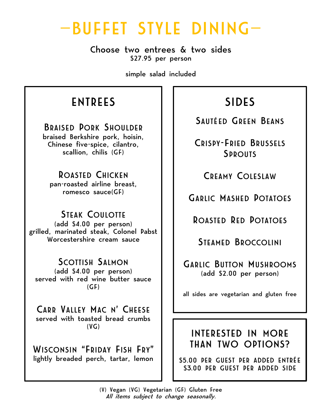## —BUFFET STYLE DINING—

Choose two entrees & two sides \$27.95 per person

simple salad included

## ENTREES

BRAISED PORK SHOULDER braised Berkshire pork, hoisin, Chinese five-spice, cilantro, scallion, chilis (GF)

ROASTED CHICKEN pan-roasted airline breast, romesco sauce(GF)

STEAK COULOTTE (add \$4.00 per person) grilled, marinated steak, Colonel Pabst Worcestershire cream sauce

SCOTTISH SALMON (add \$4.00 per person) served with red wine butter sauce  $(GF)$ 

CARR VALLEY MAC N' CHEESE served with toasted bread crumbs  $(VG)$ 

WISCONSIN "FRIDAY FISH FRY" lightly breaded perch, tartar, lemon

## SIDES

SAUTÉED GREEN BEANS

CRISPY-FRIED BRUSSELS **SPROUTS** 

CREAMY COLESLAW

GARLIC MASHED POTATOES

ROASTED RED POTATOES

STEAMED BROCCOLINI

GARLIC BUTTON MUSHROOMS (add \$2.00 per person)

all sides are vegetarian and gluten free

#### INTERESTED IN MORE THAN TWO OPTIONS?

\$5.00 PER GUEST PER ADDED ENTRÉE \$3.00 PER GUEST PER ADDED SIDE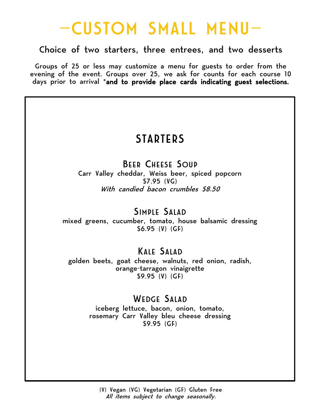## —CUSTOM SMALL MENU—

#### Choice of two starters, three entrees, and two desserts

Groups of 25 or less may customize a menu for guests to order from the evening of the event. Groups over 25, we ask for counts for each course 10 days prior to arrival \*and to provide place cards indicating guest selections.

### **STARTERS**

#### BEER CHEESE SOUP

Carr Valley cheddar, Weiss beer, spiced popcorn \$7.95 (VG) With candied bacon crumbles \$8.50

#### SIMPLE SALAD

mixed greens, cucumber, tomato, house balsamic dressing \$6.95 (V) (GF)

### KALE SALAD

golden beets, goat cheese, walnuts, red onion, radish, orange-tarragon vinaigrette \$9.95 (V) (GF)

#### WEDGE SALAD

iceberg lettuce, bacon, onion, tomato, rosemary Carr Valley bleu cheese dressing \$9.95 (GF)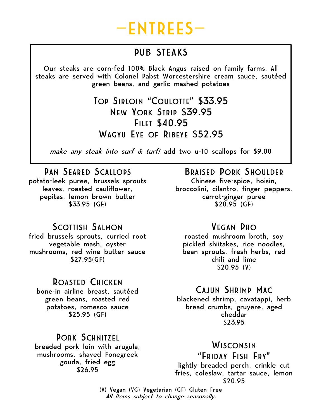

### PUB STEAKS

Our steaks are corn-fed 100% Black Angus raised on family farms. All steaks are served with Colonel Pabst Worcestershire cream sauce, sautéed green beans, and garlic mashed potatoes

> TOP SIRLOIN "COULOTTE" \$33.95 NEW YORK STRIP \$39.95 FILET \$40.95 WAGYU EYE OF RIBEYE \$52.95

make any steak into surf & turf! add two u-10 scallops for \$9.00

PAN SEARED SCALLOPS potato-leek puree, brussels sprouts leaves, roasted cauliflower, pepitas, lemon brown butter \$33.95 (GF)

#### SCOTTISH SALMON

fried brussels sprouts, curried root vegetable mash, oyster mushrooms, red wine butter sauce \$27.95(GF)

#### ROASTED CHICKEN

bone-in airline breast, sautéed green beans, roasted red potatoes, romesco sauce \$25.95 (GF)

#### PORK SCHNITZEL breaded pork loin with arugula, mushrooms, shaved Fonegreek gouda, fried egg \$26.95

#### BRAISED PORK SHOULDER

Chinese five-spice, hoisin, broccolini, cilantro, finger peppers, carrot-ginger puree \$20.95 (GF)

#### VEGAN PHO

roasted mushroom broth, soy pickled shiitakes, rice noodles, bean sprouts, fresh herbs, red chili and lime \$20.95 (V)

#### CAJUN SHRIMP MAC

blackened shrimp, cavatappi, herb bread crumbs, gruyere, aged cheddar \$23.95

#### **WISCONSIN**

"FRIDAY FISH FRY" lightly breaded perch, crinkle cut fries, coleslaw, tartar sauce, lemon \$20.95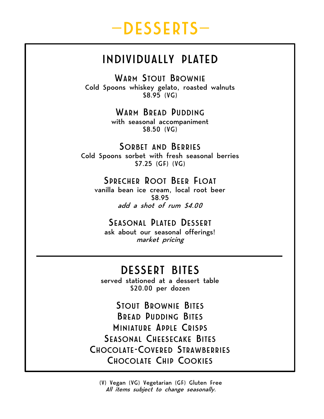## —DESSERTS—

### INDIVIDUALLY PLATED

WARM STOUT BROWNIE Cold Spoons whiskey gelato, roasted walnuts \$8.95 (VG)

> WARM BREAD PUDDING with seasonal accompaniment

\$8.50 (VG)

SORBET AND BERRIES Cold Spoons sorbet with fresh seasonal berries \$7.25 (GF) (VG)

#### SPRECHER ROOT BEER FLOAT

vanilla bean ice cream, local root beer \$8.95 add a shot of rum \$4.00

#### SEASONAL PLATED DESSERT

ask about our seasonal offerings! market pricing

### DESSERT BITES

served stationed at a dessert table \$20.00 per dozen

STOUT BROWNIE BITES BREAD PUDDING BITES MINIATURE APPLE CRISPS SEASONAL CHEESECAKE BITES CHOCOLATE-COVERED STRAWBERRIES CHOCOLATE CHIP COOKIES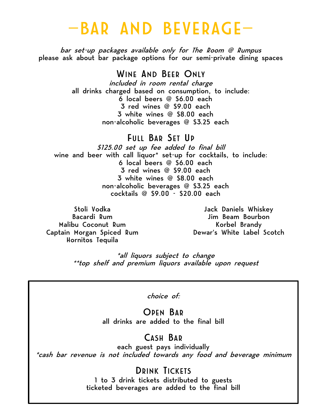## —BAR AND BEVERAGE—

bar set-up packages available only for The Room @ Rumpus please ask about bar package options for our semi-private dining spaces

WINE AND BEER ONLY

included in room rental charge all drinks charged based on consumption, to include: 6 local beers @ \$6.00 each 3 red wines @ \$9.00 each 3 white wines @ \$8.00 each non-alcoholic beverages @ \$3.25 each

FULL BAR SET UP \$125.00 set up fee added to final bill wine and beer with call liquor\* set-up for cocktails, to include: 6 local beers @ \$6.00 each 3 red wines @ \$9.00 each 3 white wines @ \$8.00 each non-alcoholic beverages @ \$3.25 each cocktails @ \$9.00 - \$20.00 each

Stoli Vodka Bacardi Rum Malibu Coconut Rum Captain Morgan Spiced Rum Hornitos Tequila

Jack Daniels Whiskey Jim Beam Bourbon Korbel Brandy Dewar's White Label Scotch

\*all liquors subject to change \*\*top shelf and premium liquors available upon request

choice of:

OPEN BAR all drinks are added to the final bill

#### CASH BAR

each guest pays individually \*cash bar revenue is not included towards any food and beverage minimum

DRINK TICKETS

ticketed beverages are added to the final bill 1 to 3 drink tickets distributed to guests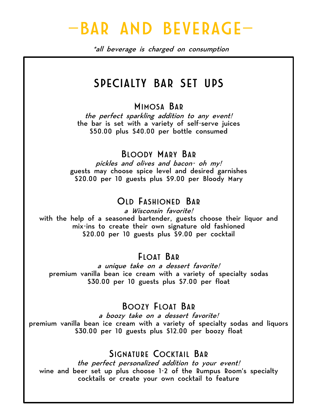## —BAR AND BEVERAGE—

\*all beverage is charged on consumption

### SPECIALTY BAR SET UPS

#### MIMOSA BAR

the perfect sparkling addition to any event! the bar is set with a variety of self-serve juices \$50.00 plus \$40.00 per bottle consumed

#### BLOODY MARY BAR

pickles and olives and bacon- oh my! guests may choose spice level and desired garnishes \$20.00 per 10 guests plus \$9.00 per Bloody Mary

#### OLD FASHIONED BAR

a Wisconsin favorite! with the help of a seasoned bartender, guests choose their liquor and mix-ins to create their own signature old fashioned \$20.00 per 10 guests plus \$9.00 per cocktail

#### FLOAT BAR

a unique take on a dessert favorite! premium vanilla bean ice cream with a variety of specialty sodas \$30.00 per 10 guests plus \$7.00 per float

#### BOOZY FLOAT BAR

a boozy take on a dessert favorite! premium vanilla bean ice cream with a variety of specialty sodas and liquors \$30.00 per 10 guests plus \$12.00 per boozy float

#### SIGNATURE COCKTAIL BAR

the perfect personalized addition to your event! wine and beer set up plus choose 1-2 of the Rumpus Room's specialty cocktails or create your own cocktail to feature